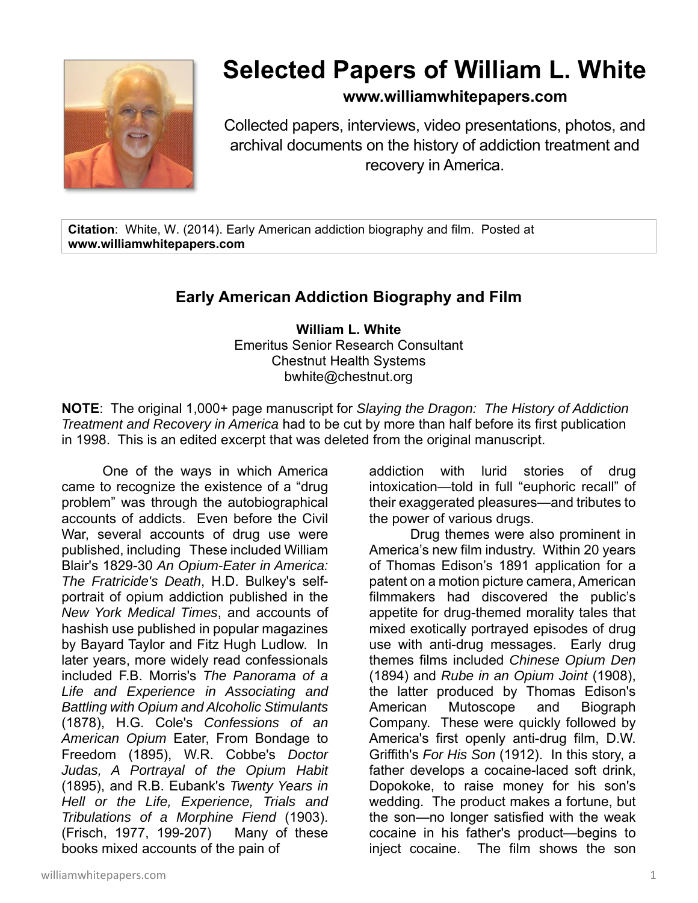

## **Selected Papers of William L. White**

## **www.williamwhitepapers.com**

Collected papers, interviews, video presentations, photos, and archival documents on the history of addiction treatment and recovery in America.

**Citation**: White, W. (2014). Early American addiction biography and film. Posted at **www.williamwhitepapers.com**

## **Early American Addiction Biography and Film**

**William L. White**  Emeritus Senior Research Consultant Chestnut Health Systems bwhite@chestnut.org

**NOTE**: The original 1,000+ page manuscript for *Slaying the Dragon: The History of Addiction Treatment and Recovery in America* had to be cut by more than half before its first publication in 1998. This is an edited excerpt that was deleted from the original manuscript.

One of the ways in which America came to recognize the existence of a "drug problem" was through the autobiographical accounts of addicts. Even before the Civil War, several accounts of drug use were published, including These included William Blair's 1829-30 *An Opium-Eater in America: The Fratricide's Death*, H.D. Bulkey's selfportrait of opium addiction published in the *New York Medical Times*, and accounts of hashish use published in popular magazines by Bayard Taylor and Fitz Hugh Ludlow. In later years, more widely read confessionals included F.B. Morris's *The Panorama of a Life and Experience in Associating and Battling with Opium and Alcoholic Stimulants* (1878), H.G. Cole's *Confessions of an American Opium* Eater, From Bondage to Freedom (1895), W.R. Cobbe's *Doctor Judas, A Portrayal of the Opium Habit* (1895), and R.B. Eubank's *Twenty Years in Hell or the Life, Experience, Trials and Tribulations of a Morphine Fiend* (1903). (Frisch, 1977, 199-207) Many of these books mixed accounts of the pain of

addiction with lurid stories of drug intoxication—told in full "euphoric recall" of their exaggerated pleasures—and tributes to the power of various drugs.

Drug themes were also prominent in America's new film industry. Within 20 years of Thomas Edison's 1891 application for a patent on a motion picture camera, American filmmakers had discovered the public's appetite for drug-themed morality tales that mixed exotically portrayed episodes of drug use with anti-drug messages. Early drug themes films included *Chinese Opium Den* (1894) and *Rube in an Opium Joint* (1908), the latter produced by Thomas Edison's American Mutoscope and Biograph Company. These were quickly followed by America's first openly anti-drug film, D.W. Griffith's *For His Son* (1912). In this story, a father develops a cocaine-laced soft drink, Dopokoke, to raise money for his son's wedding. The product makes a fortune, but the son—no longer satisfied with the weak cocaine in his father's product—begins to inject cocaine. The film shows the son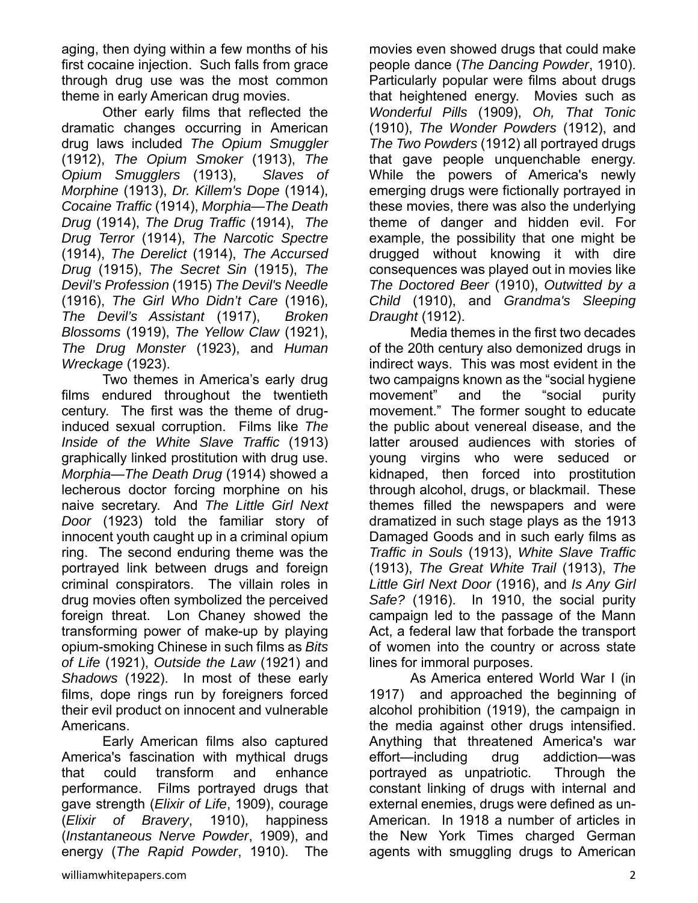aging, then dying within a few months of his first cocaine injection. Such falls from grace through drug use was the most common theme in early American drug movies.

Other early films that reflected the dramatic changes occurring in American drug laws included *The Opium Smuggler* (1912), *The Opium Smoker* (1913), *The Opium Smugglers* (1913), *Slaves of Morphine* (1913), *Dr. Killem's Dope* (1914), *Cocaine Traffic* (1914), *Morphia—The Death Drug* (1914), *The Drug Traffic* (1914), *The Drug Terror* (1914), *The Narcotic Spectre* (1914), *The Derelict* (1914), *The Accursed Drug* (1915), *The Secret Sin* (1915), *The Devil's Profession* (1915) *The Devil's Needle* (1916), *The Girl Who Didn't Care* (1916), *The Devil's Assistant* (1917), *Broken Blossoms* (1919), *The Yellow Claw* (1921), *The Drug Monster* (1923), and *Human Wreckage* (1923).

 Two themes in America's early drug films endured throughout the twentieth century. The first was the theme of druginduced sexual corruption. Films like *The Inside of the White Slave Traffic* (1913) graphically linked prostitution with drug use. *Morphia—The Death Drug* (1914) showed a lecherous doctor forcing morphine on his naive secretary. And *The Little Girl Next Door* (1923) told the familiar story of innocent youth caught up in a criminal opium ring. The second enduring theme was the portrayed link between drugs and foreign criminal conspirators. The villain roles in drug movies often symbolized the perceived foreign threat. Lon Chaney showed the transforming power of make-up by playing opium-smoking Chinese in such films as *Bits of Life* (1921), *Outside the Law* (1921) and *Shadows* (1922). In most of these early films, dope rings run by foreigners forced their evil product on innocent and vulnerable Americans.

Early American films also captured America's fascination with mythical drugs that could transform and enhance performance. Films portrayed drugs that gave strength (*Elixir of Life*, 1909), courage (*Elixir of Bravery*, 1910), happiness (*Instantaneous Nerve Powder*, 1909), and energy (*The Rapid Powder*, 1910). The

movies even showed drugs that could make people dance (*The Dancing Powder*, 1910). Particularly popular were films about drugs that heightened energy. Movies such as *Wonderful Pills* (1909), *Oh, That Tonic* (1910), *The Wonder Powders* (1912), and *The Two Powders* (1912) all portrayed drugs that gave people unquenchable energy. While the powers of America's newly emerging drugs were fictionally portrayed in these movies, there was also the underlying theme of danger and hidden evil. For example, the possibility that one might be drugged without knowing it with dire consequences was played out in movies like *The Doctored Beer* (1910), *Outwitted by a Child* (1910), and *Grandma's Sleeping Draught* (1912).

Media themes in the first two decades of the 20th century also demonized drugs in indirect ways. This was most evident in the two campaigns known as the "social hygiene movement" and the "social purity movement." The former sought to educate the public about venereal disease, and the latter aroused audiences with stories of young virgins who were seduced or kidnaped, then forced into prostitution through alcohol, drugs, or blackmail. These themes filled the newspapers and were dramatized in such stage plays as the 1913 Damaged Goods and in such early films as *Traffic in Souls* (1913), *White Slave Traffic* (1913), *The Great White Trail* (1913), *The Little Girl Next Door* (1916), and *Is Any Girl Safe?* (1916). In 1910, the social purity campaign led to the passage of the Mann Act, a federal law that forbade the transport of women into the country or across state lines for immoral purposes.

As America entered World War I (in 1917) and approached the beginning of alcohol prohibition (1919), the campaign in the media against other drugs intensified. Anything that threatened America's war effort—including drug addiction—was portrayed as unpatriotic. Through the constant linking of drugs with internal and external enemies, drugs were defined as un-American. In 1918 a number of articles in the New York Times charged German agents with smuggling drugs to American